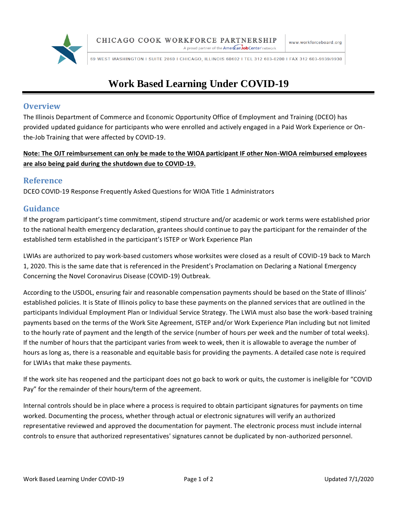

A proud partner of the **American Job Center** network

69 WEST WASHINGTON I SUITE 2860 I CHICAGO, ILLINOIS 60602 I TEL 312 603-0200 I FAX 312 603-9939/9930

# **Work Based Learning Under COVID-19**

## **Overview**

The Illinois Department of Commerce and Economic Opportunity Office of Employment and Training (DCEO) has provided updated guidance for participants who were enrolled and actively engaged in a Paid Work Experience or Onthe-Job Training that were affected by COVID-19.

## **Note: The OJT reimbursement can only be made to the WIOA participant IF other Non-WIOA reimbursed employees are also being paid during the shutdown due to COVID-19.**

# **Reference**

DCEO COVID-19 Response Frequently Asked Questions for WIOA Title 1 Administrators

# **Guidance**

If the program participant's time commitment, stipend structure and/or academic or work terms were established prior to the national health emergency declaration, grantees should continue to pay the participant for the remainder of the established term established in the participant's ISTEP or Work Experience Plan

LWIAs are authorized to pay work-based customers whose worksites were closed as a result of COVID-19 back to March 1, 2020. This is the same date that is referenced in the President's Proclamation on Declaring a National Emergency Concerning the Novel Coronavirus Disease (COVID-19) Outbreak.

According to the USDOL, ensuring fair and reasonable compensation payments should be based on the State of Illinois' established policies. It is State of Illinois policy to base these payments on the planned services that are outlined in the participants Individual Employment Plan or Individual Service Strategy. The LWIA must also base the work-based training payments based on the terms of the Work Site Agreement, ISTEP and/or Work Experience Plan including but not limited to the hourly rate of payment and the length of the service (number of hours per week and the number of total weeks). If the number of hours that the participant varies from week to week, then it is allowable to average the number of hours as long as, there is a reasonable and equitable basis for providing the payments. A detailed case note is required for LWIAs that make these payments.

If the work site has reopened and the participant does not go back to work or quits, the customer is ineligible for "COVID Pay" for the remainder of their hours/term of the agreement.

Internal controls should be in place where a process is required to obtain participant signatures for payments on time worked. Documenting the process, whether through actual or electronic signatures will verify an authorized representative reviewed and approved the documentation for payment. The electronic process must include internal controls to ensure that authorized representatives' signatures cannot be duplicated by non-authorized personnel.